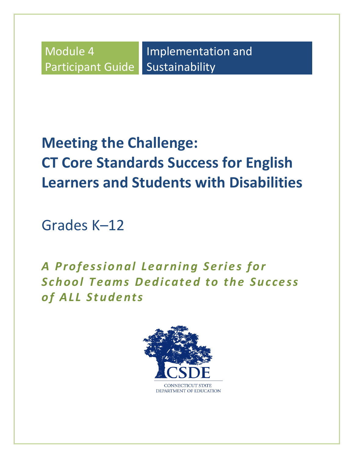Module 4 Participant Guide

Implementation and Sustainability

# **Meeting the Challenge: CT Core Standards Success for English Learners and Students with Disabilities**

Grades K–12

A Professional Learning Series for **School Teams Dedicated to the Success** *o f A LL Stu d e n ts*

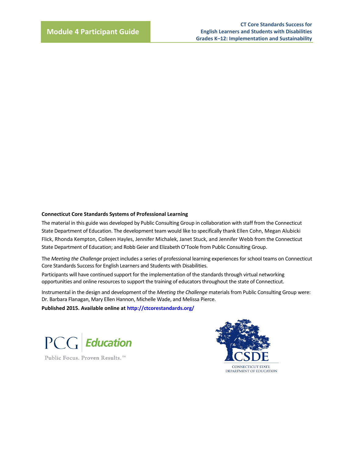#### **Connecticut Core Standards Systems of Professional Learning**

The material in this guide was developed by Public Consulting Group in collaboration with staff from the Connecticut State Department of Education. The development team would like to specifically thank Ellen Cohn, Megan Alubicki Flick, Rhonda Kempton, Colleen Hayles, Jennifer Michalek, Janet Stuck, and Jennifer Webb from the Connecticut State Department of Education; and Robb Geier and Elizabeth O'Toole from Public Consulting Group.

The *Meeting the Challenge* project includes a series of professional learning experiences for school teams on Connecticut Core Standards Success for English Learners and Students with Disabilities.

Participants will have continued support for the implementation of the standards through virtual networking opportunities and online resources to support the training of educators throughout the state of Connecticut.

Instrumental in the design and development of the *Meeting the Challenge* materials from Public Consulting Group were: Dr. Barbara Flanagan, Mary Ellen Hannon, Michelle Wade, and Melissa Pierce.

**Published 2015. Available online at<http://ctcorestandards.org/>**



Public Focus. Proven Results.<sup>™</sup>

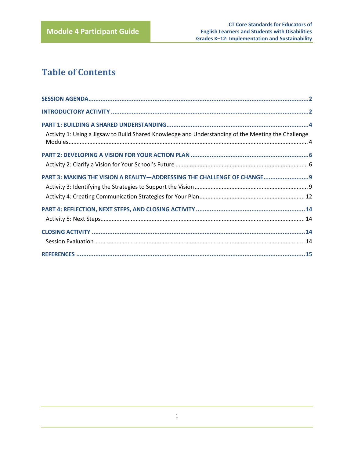# **Table of Contents**

| Activity 1: Using a Jigsaw to Build Shared Knowledge and Understanding of the Meeting the Challenge |  |
|-----------------------------------------------------------------------------------------------------|--|
|                                                                                                     |  |
|                                                                                                     |  |
| PART 3: MAKING THE VISION A REALITY-ADDRESSING THE CHALLENGE OF CHANGE 9                            |  |
|                                                                                                     |  |
|                                                                                                     |  |
|                                                                                                     |  |
|                                                                                                     |  |
|                                                                                                     |  |
|                                                                                                     |  |
|                                                                                                     |  |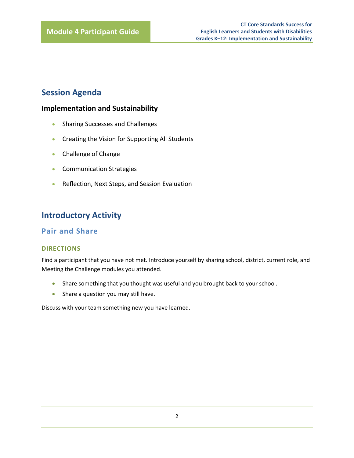# <span id="page-3-0"></span>**Session Agenda**

### **Implementation and Sustainability**

- Sharing Successes and Challenges
- **•** Creating the Vision for Supporting All Students
- Challenge of Change
- **•** Communication Strategies
- Reflection, Next Steps, and Session Evaluation

# <span id="page-3-1"></span>**Introductory Activity**

### **Pair and Share**

### **DIRECTIONS**

Find a participant that you have not met. Introduce yourself by sharing school, district, current role, and Meeting the Challenge modules you attended.

- Share something that you thought was useful and you brought back to your school.
- Share a question you may still have.

Discuss with your team something new you have learned.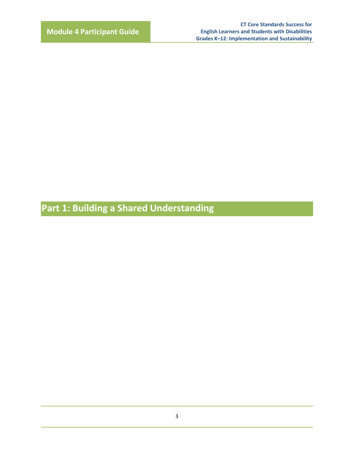**Part 1: Building a Shared Understanding**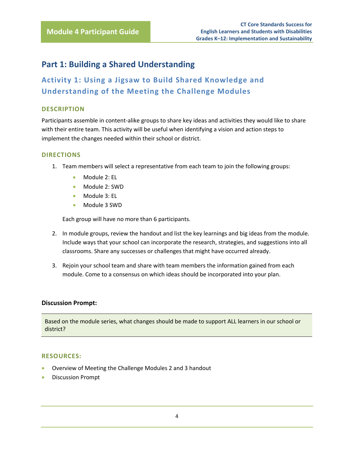# <span id="page-5-0"></span>**Part 1: Building a Shared Understanding**

<span id="page-5-1"></span>**Activity 1: Using a Jigsaw to Build Shared Knowledge and Understanding of the Meeting the Challenge Modules**

### **DESCRIPTION**

Participants assemble in content-alike groups to share key ideas and activities they would like to share with their entire team. This activity will be useful when identifying a vision and action steps to implement the changes needed within their school or district.

### **DIRECTIONS**

- 1. Team members will select a representative from each team to join the following groups:
	- Module 2: EL
	- Module 2: SWD
	- Module 3: EL
	- Module 3 SWD

Each group will have no more than 6 participants.

- 2. In module groups, review the handout and list the key learnings and big ideas from the module. Include ways that your school can incorporate the research, strategies, and suggestions into all classrooms. Share any successes or challenges that might have occurred already.
- 3. Rejoin your school team and share with team members the information gained from each module. Come to a consensus on which ideas should be incorporated into your plan.

### **Discussion Prompt:**

Based on the module series, what changes should be made to support ALL learners in our school or district?

### **RESOURCES:**

- Overview of Meeting the Challenge Modules 2 and 3 handout
- **•** Discussion Prompt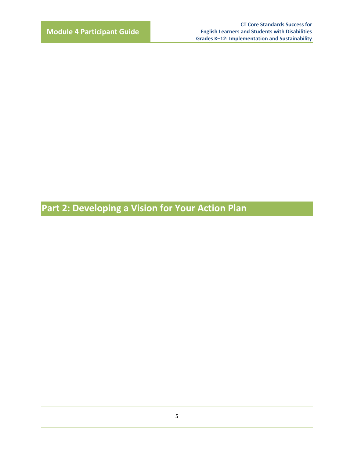**Part 2: Developing a Vision for Your Action Plan**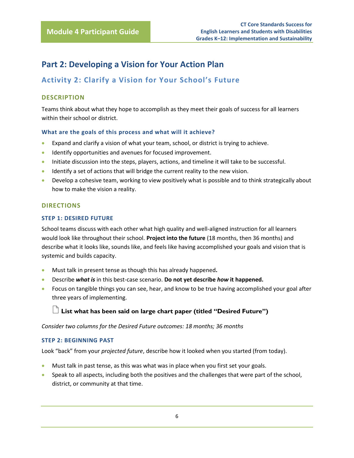# <span id="page-7-0"></span>**Part 2: Developing a Vision for Your Action Plan**

## <span id="page-7-1"></span>**Activity 2: Clarify a Vision for Your School's Future**

### **DESCRIPTION**

Teams think about what they hope to accomplish as they meet their goals of success for all learners within their school or district.

### **What are the goals of this process and what will it achieve?**

- Expand and clarify a vision of what your team, school, or district is trying to achieve.
- **IDENTIFY** opportunities and avenues for focused improvement.
- Initiate discussion into the steps, players, actions, and timeline it will take to be successful.
- **IDENTIFY** a set of actions that will bridge the current reality to the new vision.
- **•** Develop a cohesive team, working to view positively what is possible and to think strategically about how to make the vision a reality.

### **DIRECTIONS**

### **STEP 1: DESIRED FUTURE**

School teams discuss with each other what high quality and well-aligned instruction for all learners would look like throughout their school. **Project into the future** (18 months, then 36 months) and describe what it looks like, sounds like, and feels like having accomplished your goals and vision that is systemic and builds capacity.

- Must talk in present tense as though this has already happened**.**
- Describe *what is* in this best-case scenario. **Do not yet describe** *how* **it happened.**
- Focus on tangible things you can see, hear, and know to be true having accomplished your goal after three years of implementing.

### **List what has been said on large chart paper (titled "Desired Future")**

*Consider two columns for the Desired Future outcomes: 18 months; 36 months*

### **STEP 2: BEGINNING PAST**

Look "back" from your *projected future*, describe how it looked when you started (from today).

- Must talk in past tense, as this was what was in place when you first set your goals.
- **Speak to all aspects, including both the positives and the challenges that were part of the school,** district, or community at that time.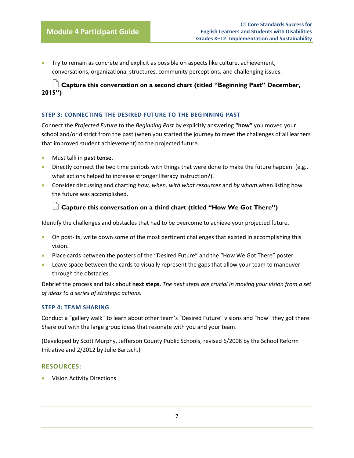Try to remain as concrete and explicit as possible on aspects like culture, achievement, conversations, organizational structures, community perceptions, and challenging issues.

### **Capture this conversation on a second chart (titled "Beginning Past" December, 2015")**

### **STEP 3: CONNECTING THE DESIRED FUTURE TO THE BEGINNING PAST**

Connect the *Projected Future* to the *Beginning Past* by explicitly answering **"how"** you moved your school and/or district from the past (when you started the journey to meet the challenges of all learners that improved student achievement) to the projected future.

- Must talk in **past tense.**
- **Directly connect the two time periods with things that were done to make the future happen.** (e.g., what actions helped to increase stronger literacy instruction?).
- Consider discussing and charting *how, when, with what resources* and *by whom* when listing how the future was accomplished.

### **Capture this conversation on a third chart (titled "How We Got There")**

Identify the challenges and obstacles that had to be overcome to achieve your projected future.

- On post-its, write down some of the most pertinent challenges that existed in accomplishing this vision.
- Place cards between the posters of the "Desired Future" and the "How We Got There" poster.
- Leave space between the cards to visually represent the gaps that allow your team to maneuver through the obstacles.

Debrief the process and talk about **next steps.** *The next steps are crucial in moving your vision from a set of ideas to a series of strategic actions.* 

### **STEP 4: TEAM SHARING**

Conduct a "gallery walk" to learn about other team's "Desired Future" visions and "how" they got there. Share out with the large group ideas that resonate with you and your team.

(Developed by Scott Murphy, Jefferson County Public Schools, revised 6/2008 by the School Reform Initiative and 2/2012 by Julie Bartsch.)

### **RESOURCES:**

Vision Activity Directions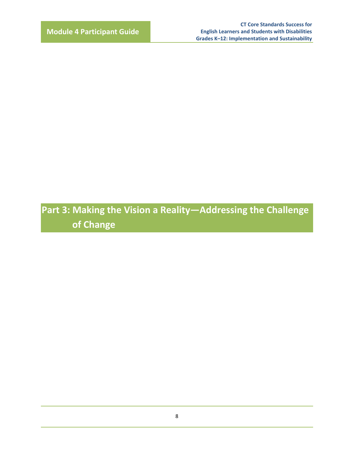**Part 3: Making the Vision a Reality—Addressing the Challenge of Change**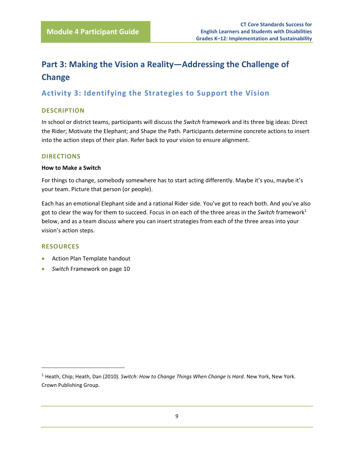# <span id="page-10-0"></span>**Part 3: Making the Vision a Reality—Addressing the Challenge of Change**

## <span id="page-10-1"></span>**Activity 3: Identifying the Strategies to Support the Vision**

### **DESCRIPTION**

In school or district teams, participants will discuss the *Switch* framework and its three big ideas: Direct the Rider; Motivate the Elephant; and Shape the Path. Participants determine concrete actions to insert into the action steps of their plan. Refer back to your vision to ensure alignment.

### **DIRECTIONS**

### **How to Make a Switch**

For things to change, somebody somewhere has to start acting differently. Maybe it's you, maybe it's your team. Picture that person (or people).

Each has an emotional Elephant side and a rational Rider side. You've got to reach both. And you've also got to clear the way for them to succeed. Focus in on each of the three areas in the *Switch* framework<sup>1</sup> below, and as a team discuss where you can insert strategies from each of the three areas into your vision's action steps.

### **RESOURCES**

l

- Action Plan Template handout
- *Switch* Framework on page 10

<sup>1</sup> Heath, Chip; Heath, Dan (2010). *Switch: How to Change Things When Change Is Hard*. New York, New York. Crown Publishing Group.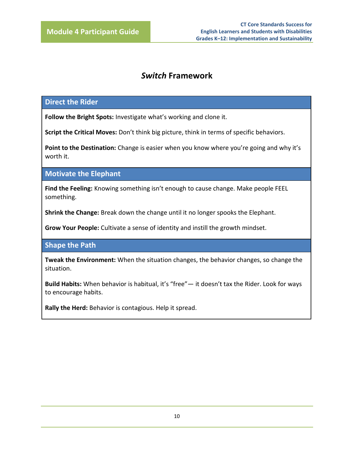# *Switch* **Framework**

### **Direct the Rider**

**Follow the Bright Spots:** Investigate what's working and clone it.

**Script the Critical Moves:** Don't think big picture, think in terms of specific behaviors.

Point to the Destination: Change is easier when you know where you're going and why it's worth it.

**Motivate the Elephant**

**Find the Feeling:** Knowing something isn't enough to cause change. Make people FEEL something.

**Shrink the Change:** Break down the change until it no longer spooks the Elephant.

**Grow Your People:** Cultivate a sense of identity and instill the growth mindset.

**Shape the Path**

**Tweak the Environment:** When the situation changes, the behavior changes, so change the situation.

**Build Habits:** When behavior is habitual, it's "free"— it doesn't tax the Rider. Look for ways to encourage habits.

**Rally the Herd:** Behavior is contagious. Help it spread.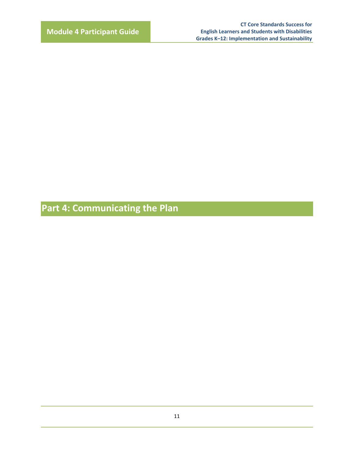**Part 4: Communicating the Plan**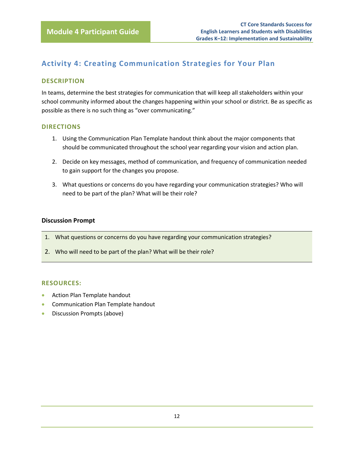# <span id="page-13-0"></span>**Activity 4: Creating Communication Strategies for Your Plan**

### **DESCRIPTION**

In teams, determine the best strategies for communication that will keep all stakeholders within your school community informed about the changes happening within your school or district. Be as specific as possible as there is no such thing as "over communicating."

### **DIRECTIONS**

- 1. Using the Communication Plan Template handout think about the major components that should be communicated throughout the school year regarding your vision and action plan.
- 2. Decide on key messages, method of communication, and frequency of communication needed to gain support for the changes you propose.
- 3. What questions or concerns do you have regarding your communication strategies? Who will need to be part of the plan? What will be their role?

### **Discussion Prompt**

- 1. What questions or concerns do you have regarding your communication strategies?
- 2. Who will need to be part of the plan? What will be their role?

### **RESOURCES:**

- Action Plan Template handout
- **Communication Plan Template handout**
- Discussion Prompts (above)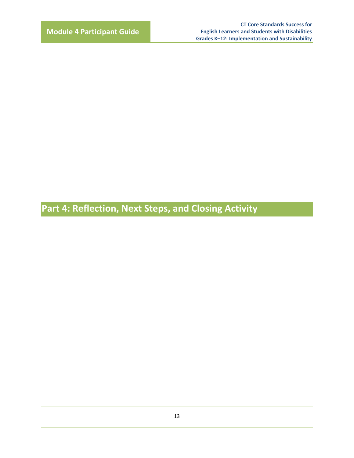**Part 4: Reflection, Next Steps, and Closing Activity**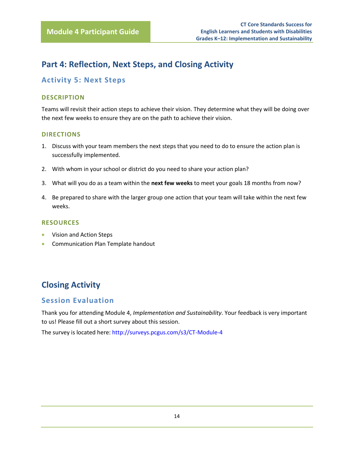# <span id="page-15-0"></span>**Part 4: Reflection, Next Steps, and Closing Activity**

### <span id="page-15-1"></span>**Activity 5: Next Steps**

### **DESCRIPTION**

Teams will revisit their action steps to achieve their vision. They determine what they will be doing over the next few weeks to ensure they are on the path to achieve their vision.

### **DIRECTIONS**

- 1. Discuss with your team members the next steps that you need to do to ensure the action plan is successfully implemented.
- 2. With whom in your school or district do you need to share your action plan?
- 3. What will you do as a team within the **next few weeks** to meet your goals 18 months from now?
- 4. Be prepared to share with the larger group one action that your team will take within the next few weeks.

### **RESOURCES**

- Vision and Action Steps
- Communication Plan Template handout

# <span id="page-15-2"></span>**Closing Activity**

### <span id="page-15-3"></span>**Session Evaluation**

Thank you for attending Module 4, *Implementation and Sustainability*. Your feedback is very important to us! Please fill out a short survey about this session.

The survey is located here: <http://surveys.pcgus.com/s3/CT-Module-4>